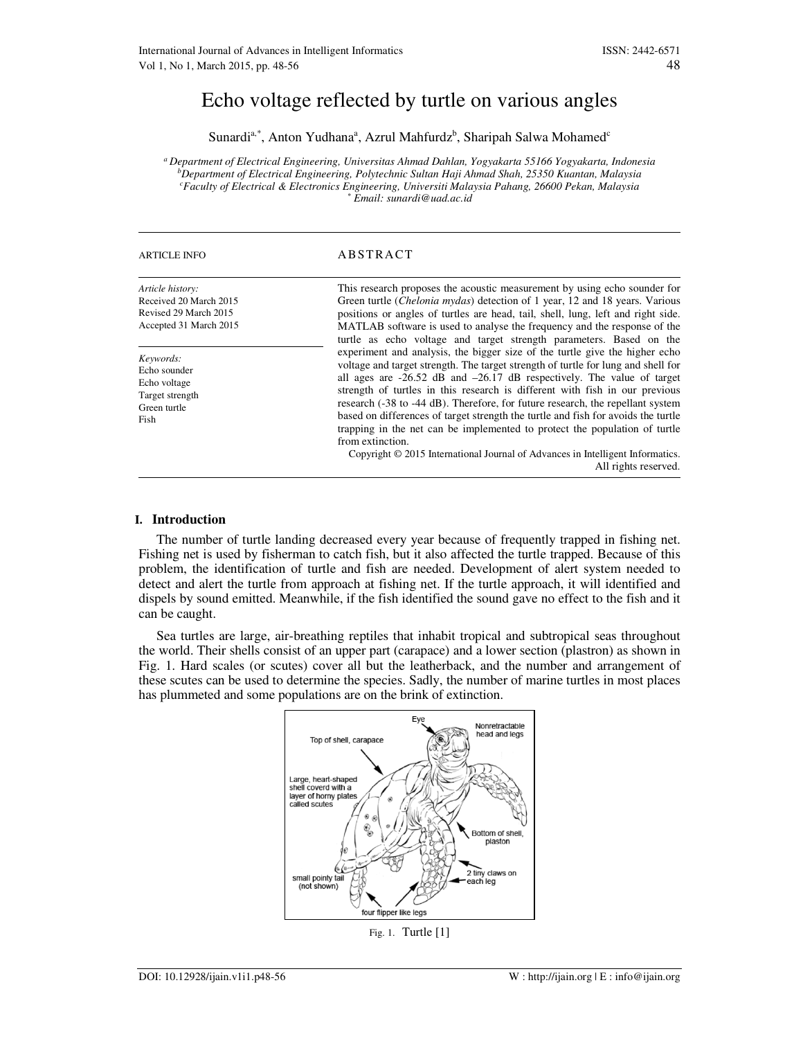# Echo voltage reflected by turtle on various angles

Sunardi<sup>a,\*</sup>, Anton Yudhana<sup>a</sup>, Azrul Mahfurdz<sup>b</sup>, Sharipah Salwa Mohamed<sup>c</sup>

*<sup>a</sup>Department of Electrical Engineering, Universitas Ahmad Dahlan, Yogyakarta 55166 Yogyakarta, Indonesia <sup>b</sup>Department of Electrical Engineering, Polytechnic Sultan Haji Ahmad Shah, 25350 Kuantan, Malaysia <sup>c</sup>Faculty of Electrical & Electronics Engineering, Universiti Malaysia Pahang, 26600 Pekan, Malaysia \* Email: sunardi@uad.ac.id*

| <b>ARTICLE INFO</b>                                                                           | ABSTRACT                                                                                                                                                                                                                                                                                                                                                                                                                                                                                                                                                                                                                                                                                                         |
|-----------------------------------------------------------------------------------------------|------------------------------------------------------------------------------------------------------------------------------------------------------------------------------------------------------------------------------------------------------------------------------------------------------------------------------------------------------------------------------------------------------------------------------------------------------------------------------------------------------------------------------------------------------------------------------------------------------------------------------------------------------------------------------------------------------------------|
| Article history:<br>Received 20 March 2015<br>Revised 29 March 2015<br>Accepted 31 March 2015 | This research proposes the acoustic measurement by using echo sounder for<br>Green turtle <i>(Chelonia mydas)</i> detection of 1 year, 12 and 18 years. Various<br>positions or angles of turtles are head, tail, shell, lung, left and right side.<br>MATLAB software is used to analyse the frequency and the response of the<br>turtle as echo voltage and target strength parameters. Based on the                                                                                                                                                                                                                                                                                                           |
| Keywords:<br>Echo sounder<br>Echo voltage<br>Target strength<br>Green turtle<br>Fish          | experiment and analysis, the bigger size of the turtle give the higher echo<br>voltage and target strength. The target strength of turtle for lung and shell for<br>all ages are $-26.52$ dB and $-26.17$ dB respectively. The value of target<br>strength of turtles in this research is different with fish in our previous<br>research (-38 to -44 dB). Therefore, for future research, the repellant system<br>based on differences of target strength the turtle and fish for avoids the turtle<br>trapping in the net can be implemented to protect the population of turtle<br>from extinction.<br>Copyright © 2015 International Journal of Advances in Intelligent Informatics.<br>All rights reserved. |

## **I. Introduction**

The number of turtle landing decreased every year because of frequently trapped in fishing net. Fishing net is used by fisherman to catch fish, but it also affected the turtle trapped. Because of this problem, the identification of turtle and fish are needed. Development of alert system needed to detect and alert the turtle from approach at fishing net. If the turtle approach, it will identified and dispels by sound emitted. Meanwhile, if the fish identified the sound gave no effect to the fish and it can be caught.

Sea turtles are large, air-breathing reptiles that inhabit tropical and subtropical seas throughout the world. Their shells consist of an upper part (carapace) and a lower section (plastron) as shown in Fig. 1. Hard scales (or scutes) cover all but the leatherback, and the number and arrangement of these scutes can be used to determine the species. Sadly, the number of marine turtles in most places has plummeted and some populations are on the brink of extinction.



Fig. 1. Turtle [1]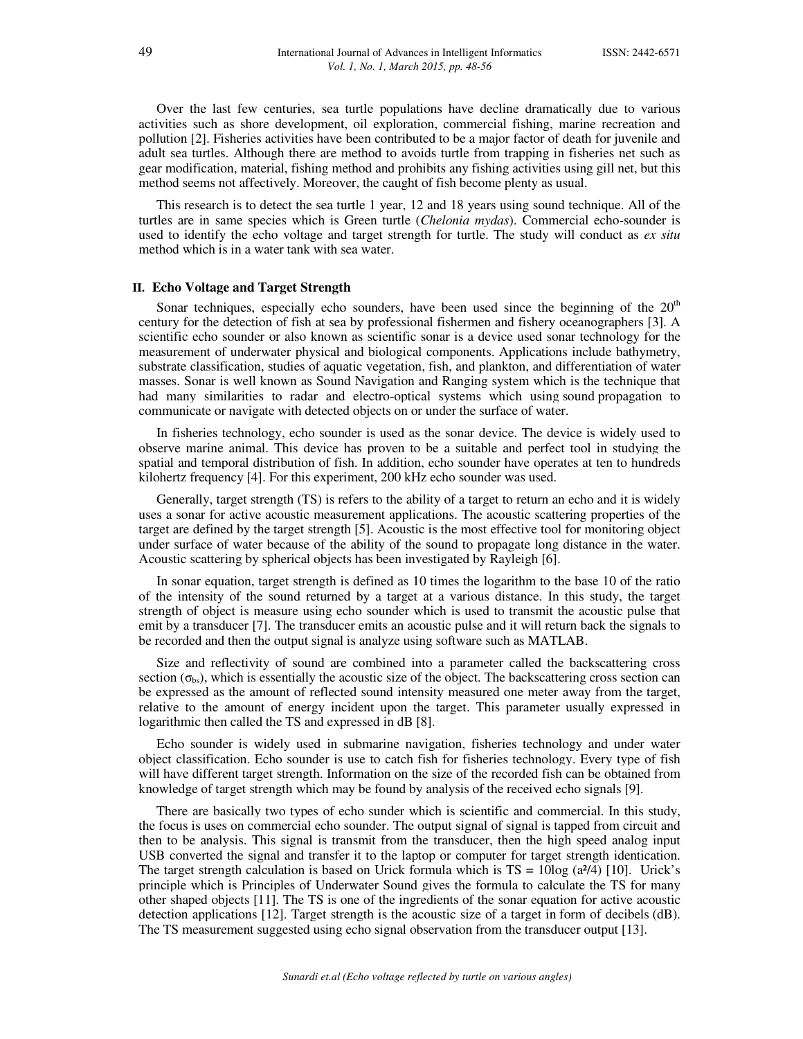Over the last few centuries, sea turtle populations have decline dramatically due to various activities such as shore development, oil exploration, commercial fishing, marine recreation and pollution [2]. Fisheries activities have been contributed to be a major factor of death for juvenile and adult sea turtles. Although there are method to avoids turtle from trapping in fisheries net such as gear modification, material, fishing method and prohibits any fishing activities using gill net, but this method seems not affectively. Moreover, the caught of fish become plenty as usual.

This research is to detect the sea turtle 1 year, 12 and 18 years using sound technique. All of the turtles are in same species which is Green turtle (*Chelonia mydas*). Commercial echo-sounder is used to identify the echo voltage and target strength for turtle. The study will conduct as *ex situ* method which is in a water tank with sea water.

## **II. Echo Voltage and Target Strength**

Sonar techniques, especially echo sounders, have been used since the beginning of the  $20<sup>th</sup>$ century for the detection of fish at sea by professional fishermen and fishery oceanographers [3]. A scientific echo sounder or also known as scientific sonar is a device used sonar technology for the measurement of underwater physical and biological components. Applications include bathymetry, substrate classification, studies of aquatic vegetation, fish, and plankton, and differentiation of water masses. Sonar is well known as Sound Navigation and Ranging system which is the technique that had many similarities to radar and electro-optical systems which using sound propagation to communicate or navigate with detected objects on or under the surface of water.

In fisheries technology, echo sounder is used as the sonar device. The device is widely used to observe marine animal. This device has proven to be a suitable and perfect tool in studying the spatial and temporal distribution of fish. In addition, echo sounder have operates at ten to hundreds kilohertz frequency [4]. For this experiment, 200 kHz echo sounder was used.

Generally, target strength (TS) is refers to the ability of a target to return an echo and it is widely uses a sonar for active acoustic measurement applications. The acoustic scattering properties of the target are defined by the target strength [5]. Acoustic is the most effective tool for monitoring object under surface of water because of the ability of the sound to propagate long distance in the water. Acoustic scattering by spherical objects has been investigated by Rayleigh [6].

In sonar equation, target strength is defined as 10 times the logarithm to the base 10 of the ratio of the intensity of the sound returned by a target at a various distance. In this study, the target strength of object is measure using echo sounder which is used to transmit the acoustic pulse that emit by a transducer [7]. The transducer emits an acoustic pulse and it will return back the signals to be recorded and then the output signal is analyze using software such as MATLAB.

Size and reflectivity of sound are combined into a parameter called the backscattering cross section ( $\sigma_{bs}$ ), which is essentially the acoustic size of the object. The backscattering cross section can be expressed as the amount of reflected sound intensity measured one meter away from the target, relative to the amount of energy incident upon the target. This parameter usually expressed in logarithmic then called the TS and expressed in dB [8].

Echo sounder is widely used in submarine navigation, fisheries technology and under water object classification. Echo sounder is use to catch fish for fisheries technology. Every type of fish will have different target strength. Information on the size of the recorded fish can be obtained from knowledge of target strength which may be found by analysis of the received echo signals [9].

There are basically two types of echo sunder which is scientific and commercial. In this study, the focus is uses on commercial echo sounder. The output signal of signal is tapped from circuit and then to be analysis. This signal is transmit from the transducer, then the high speed analog input USB converted the signal and transfer it to the laptop or computer for target strength identication. The target strength calculation is based on Urick formula which is  $TS = 10\log(a^{2}/4)$  [10]. Urick's principle which is Principles of Underwater Sound gives the formula to calculate the TS for many other shaped objects [11]. The TS is one of the ingredients of the sonar equation for active acoustic detection applications [12]. Target strength is the acoustic size of a target in form of decibels (dB). The TS measurement suggested using echo signal observation from the transducer output [13].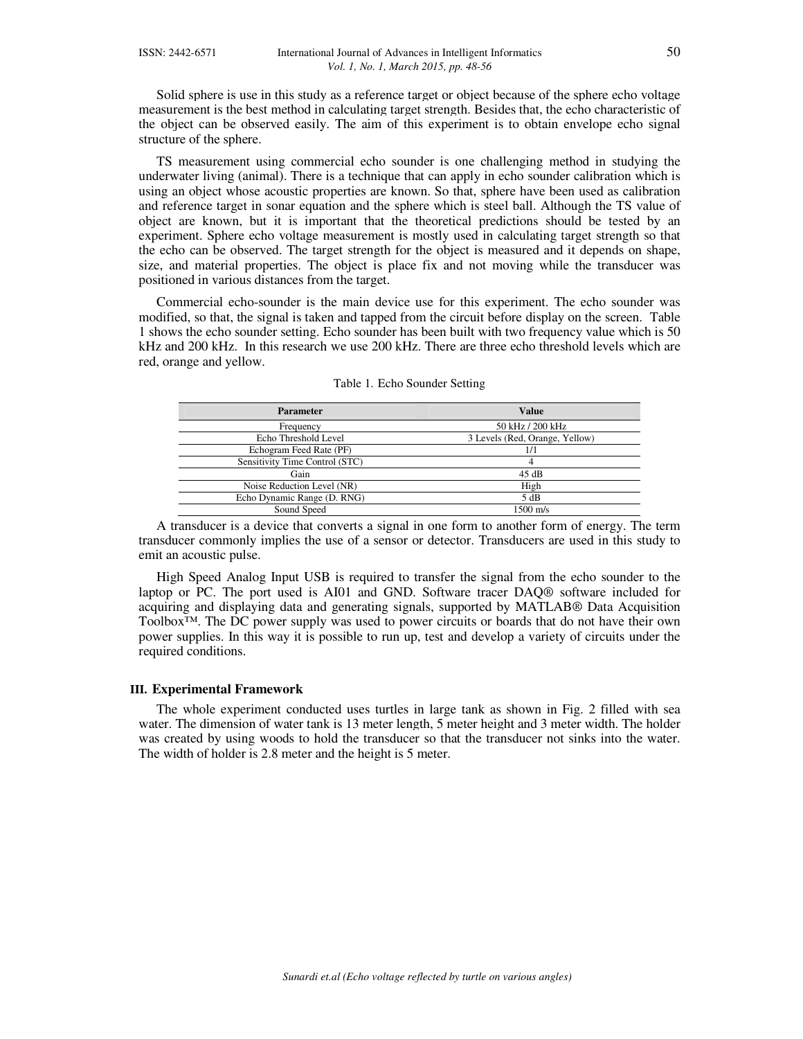Solid sphere is use in this study as a reference target or object because of the sphere echo voltage measurement is the best method in calculating target strength. Besides that, the echo characteristic of the object can be observed easily. The aim of this experiment is to obtain envelope echo signal structure of the sphere.

TS measurement using commercial echo sounder is one challenging method in studying the underwater living (animal). There is a technique that can apply in echo sounder calibration which is using an object whose acoustic properties are known. So that, sphere have been used as calibration and reference target in sonar equation and the sphere which is steel ball. Although the TS value of object are known, but it is important that the theoretical predictions should be tested by an experiment. Sphere echo voltage measurement is mostly used in calculating target strength so that the echo can be observed. The target strength for the object is measured and it depends on shape, size, and material properties. The object is place fix and not moving while the transducer was positioned in various distances from the target.

Commercial echo-sounder is the main device use for this experiment. The echo sounder was modified, so that, the signal is taken and tapped from the circuit before display on the screen. Table 1 shows the echo sounder setting. Echo sounder has been built with two frequency value which is 50 kHz and 200 kHz. In this research we use 200 kHz. There are three echo threshold levels which are red, orange and yellow.

| <b>Parameter</b>               | Value                          |  |
|--------------------------------|--------------------------------|--|
| Frequency                      | 50 kHz / 200 kHz               |  |
| Echo Threshold Level           | 3 Levels (Red, Orange, Yellow) |  |
| Echogram Feed Rate (PF)        | 1/1                            |  |
| Sensitivity Time Control (STC) |                                |  |
| Gain                           | 45 dB                          |  |
| Noise Reduction Level (NR)     | High                           |  |
| Echo Dynamic Range (D. RNG)    | 5 dB                           |  |
| Sound Speed                    | $1500 \text{ m/s}$             |  |

| Table 1. Echo Sounder Setting |  |  |  |  |
|-------------------------------|--|--|--|--|
|-------------------------------|--|--|--|--|

A transducer is a device that converts a signal in one form to another form of energy. The term transducer commonly implies the use of a sensor or detector. Transducers are used in this study to emit an acoustic pulse.

High Speed Analog Input USB is required to transfer the signal from the echo sounder to the laptop or PC. The port used is AI01 and GND. Software tracer DAQ® software included for acquiring and displaying data and generating signals, supported by MATLAB® Data Acquisition Toolbox™. The DC power supply was used to power circuits or boards that do not have their own power supplies. In this way it is possible to run up, test and develop a variety of circuits under the required conditions.

#### **III. Experimental Framework**

The whole experiment conducted uses turtles in large tank as shown in Fig. 2 filled with sea water. The dimension of water tank is 13 meter length, 5 meter height and 3 meter width. The holder was created by using woods to hold the transducer so that the transducer not sinks into the water. The width of holder is 2.8 meter and the height is 5 meter.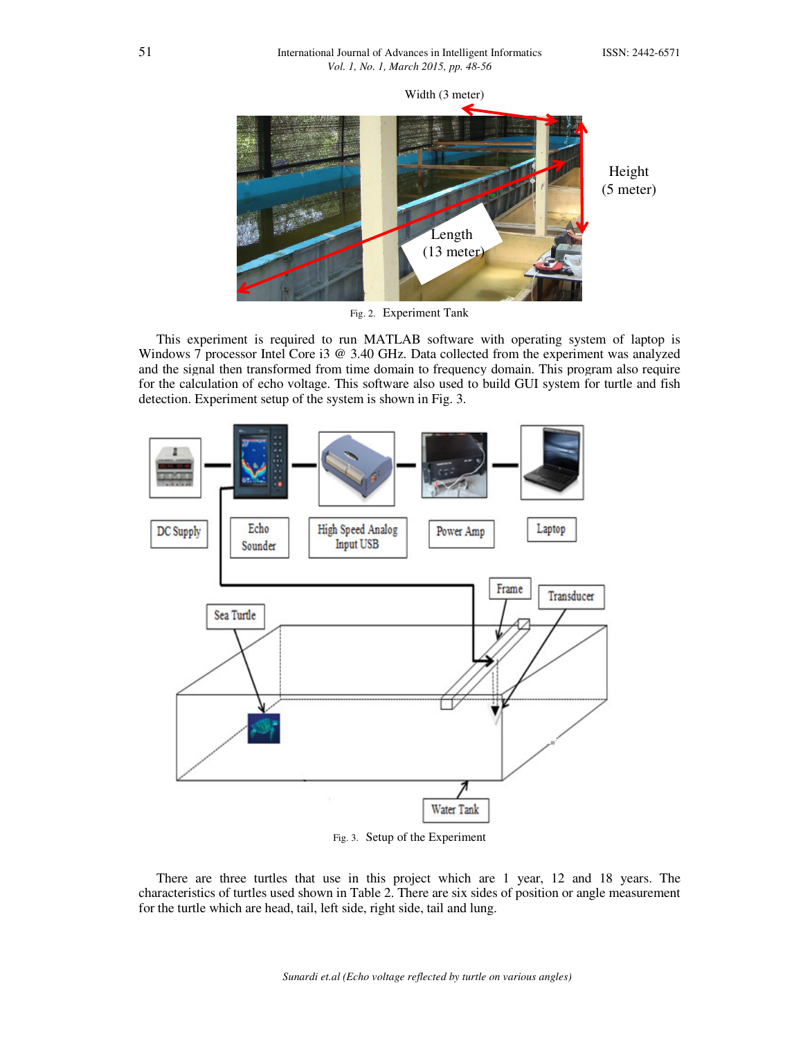

Fig. 2. Experiment Tank

This experiment is required to run MATLAB software with operating system of laptop is Windows 7 processor Intel Core i3 @ 3.40 GHz. Data collected from the experiment was analyzed and the signal then transformed from time domain to frequency domain. This program also require for the calculation of echo voltage. This software also used to build GUI system for turtle and fish detection. Experiment setup of the system is shown in Fig. 3.



Fig. 3. Setup of the Experiment

There are three turtles that use in this project which are 1 year, 12 and 18 years. The characteristics of turtles used shown in Table 2. There are six sides of position or angle measurement for the turtle which are head, tail, left side, right side, tail and lung.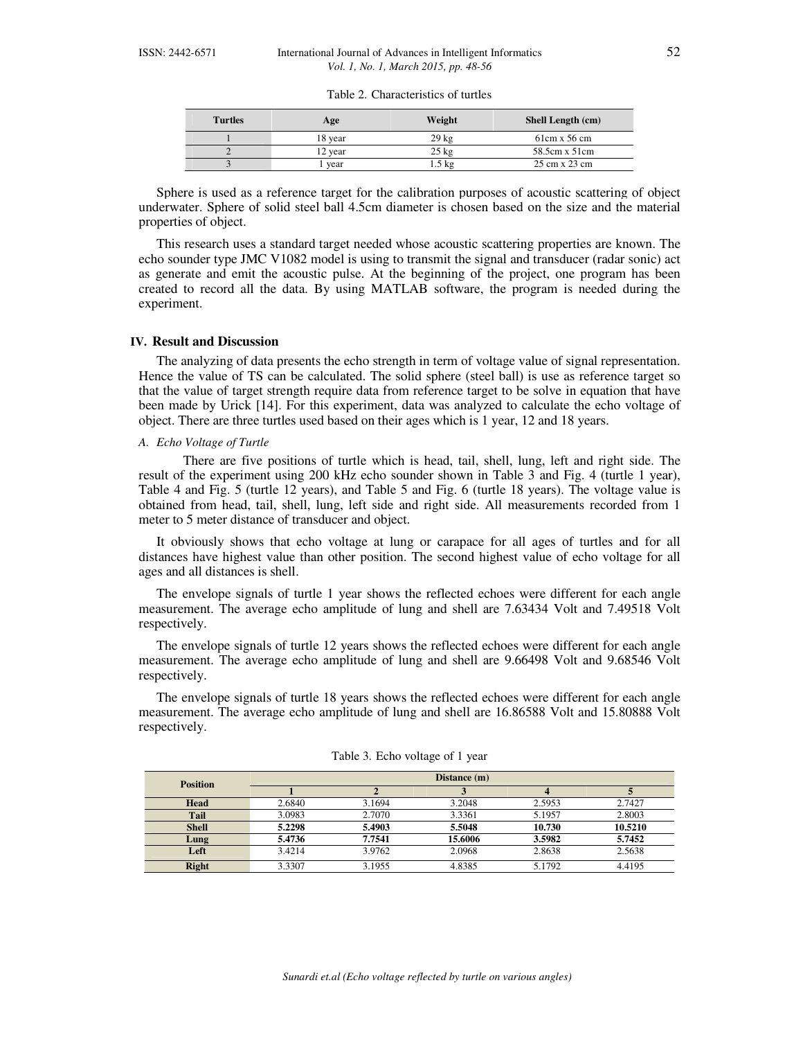| <b>Turtles</b> | Age     | Weight          | <b>Shell Length (cm)</b> |
|----------------|---------|-----------------|--------------------------|
|                | 18 year | $29 \text{ kg}$ | $61cm \times 56cm$       |
|                | 12 year | $25 \text{ kg}$ | 58.5cm x 51cm            |
|                | vear    | $.5 \text{ kg}$ | 25 cm x 23 cm            |

Table 2. Characteristics of turtles

Sphere is used as a reference target for the calibration purposes of acoustic scattering of object underwater. Sphere of solid steel ball 4.5cm diameter is chosen based on the size and the material properties of object.

This research uses a standard target needed whose acoustic scattering properties are known. The echo sounder type JMC V1082 model is using to transmit the signal and transducer (radar sonic) act as generate and emit the acoustic pulse. At the beginning of the project, one program has been created to record all the data. By using MATLAB software, the program is needed during the experiment.

#### **IV. Result and Discussion**

The analyzing of data presents the echo strength in term of voltage value of signal representation. Hence the value of TS can be calculated. The solid sphere (steel ball) is use as reference target so that the value of target strength require data from reference target to be solve in equation that have been made by Urick [14]. For this experiment, data was analyzed to calculate the echo voltage of object. There are three turtles used based on their ages which is 1 year, 12 and 18 years.

#### *A. Echo Voltage of Turtle*

 There are five positions of turtle which is head, tail, shell, lung, left and right side. The result of the experiment using 200 kHz echo sounder shown in Table 3 and Fig. 4 (turtle 1 year), Table 4 and Fig. 5 (turtle 12 years), and Table 5 and Fig. 6 (turtle 18 years). The voltage value is obtained from head, tail, shell, lung, left side and right side. All measurements recorded from 1 meter to 5 meter distance of transducer and object.

It obviously shows that echo voltage at lung or carapace for all ages of turtles and for all distances have highest value than other position. The second highest value of echo voltage for all ages and all distances is shell.

The envelope signals of turtle 1 year shows the reflected echoes were different for each angle measurement. The average echo amplitude of lung and shell are 7.63434 Volt and 7.49518 Volt respectively.

The envelope signals of turtle 12 years shows the reflected echoes were different for each angle measurement. The average echo amplitude of lung and shell are 9.66498 Volt and 9.68546 Volt respectively.

The envelope signals of turtle 18 years shows the reflected echoes were different for each angle measurement. The average echo amplitude of lung and shell are 16.86588 Volt and 15.80888 Volt respectively.

| <b>Position</b> |        |        | Distance (m) |        |         |
|-----------------|--------|--------|--------------|--------|---------|
|                 |        |        |              |        |         |
| Head            | 2.6840 | 3.1694 | 3.2048       | 2.5953 | 2.7427  |
| Tail            | 3.0983 | 2.7070 | 3.3361       | 5.1957 | 2.8003  |
| <b>Shell</b>    | 5.2298 | 5.4903 | 5.5048       | 10.730 | 10.5210 |
| Lung            | 5.4736 | 7.7541 | 15.6006      | 3.5982 | 5.7452  |
| Left            | 3.4214 | 3.9762 | 2.0968       | 2.8638 | 2.5638  |
| <b>Right</b>    | 3.3307 | 3.1955 | 4.8385       | 5.1792 | 4.4195  |

Table 3. Echo voltage of 1 year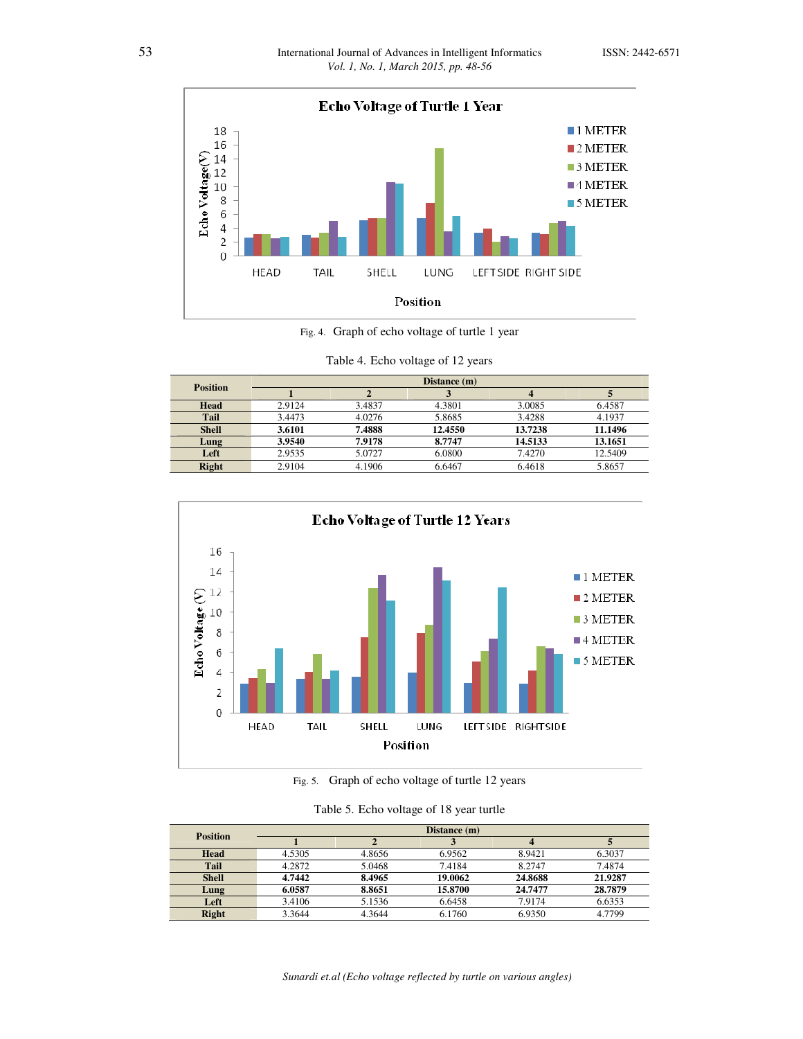

Fig. 4. Graph of echo voltage of turtle 1 year

| <b>Position</b> |        |        | Distance (m) |         |         |
|-----------------|--------|--------|--------------|---------|---------|
|                 |        |        |              |         |         |
| <b>Head</b>     | 2.9124 | 3.4837 | 4.3801       | 3.0085  | 6.4587  |
| <b>Tail</b>     | 3.4473 | 4.0276 | 5.8685       | 3.4288  | 4.1937  |
| <b>Shell</b>    | 3.6101 | 7.4888 | 12.4550      | 13.7238 | 11.1496 |
| Lung            | 3.9540 | 7.9178 | 8.7747       | 14.5133 | 13.1651 |
| Left            | 2.9535 | 5.0727 | 6.0800       | 7.4270  | 12.5409 |
| <b>Right</b>    | 2.9104 | 4.1906 | 6.6467       | 6.4618  | 5.8657  |

Table 4. Echo voltage of 12 years



Fig. 5. Graph of echo voltage of turtle 12 years

| Table 5. Echo voltage of 18 year turtle |  |  |  |
|-----------------------------------------|--|--|--|
|                                         |  |  |  |

| <b>Position</b> |        |        | Distance (m) |         |         |
|-----------------|--------|--------|--------------|---------|---------|
|                 |        |        |              |         |         |
| Head            | 4.5305 | 4.8656 | 6.9562       | 8.9421  | 6.3037  |
| Tail            | 4.2872 | 5.0468 | 7.4184       | 8.2747  | 7.4874  |
| <b>Shell</b>    | 4.7442 | 8.4965 | 19.0062      | 24.8688 | 21.9287 |
| Lung            | 6.0587 | 8.8651 | 15.8700      | 24,7477 | 28.7879 |
| Left            | 3.4106 | 5.1536 | 6.6458       | 7.9174  | 6.6353  |
| <b>Right</b>    | 3.3644 | 4.3644 | 6.1760       | 6.9350  | 4.7799  |

*Sunardi et.al (Echo voltage reflected by turtle on various angles)*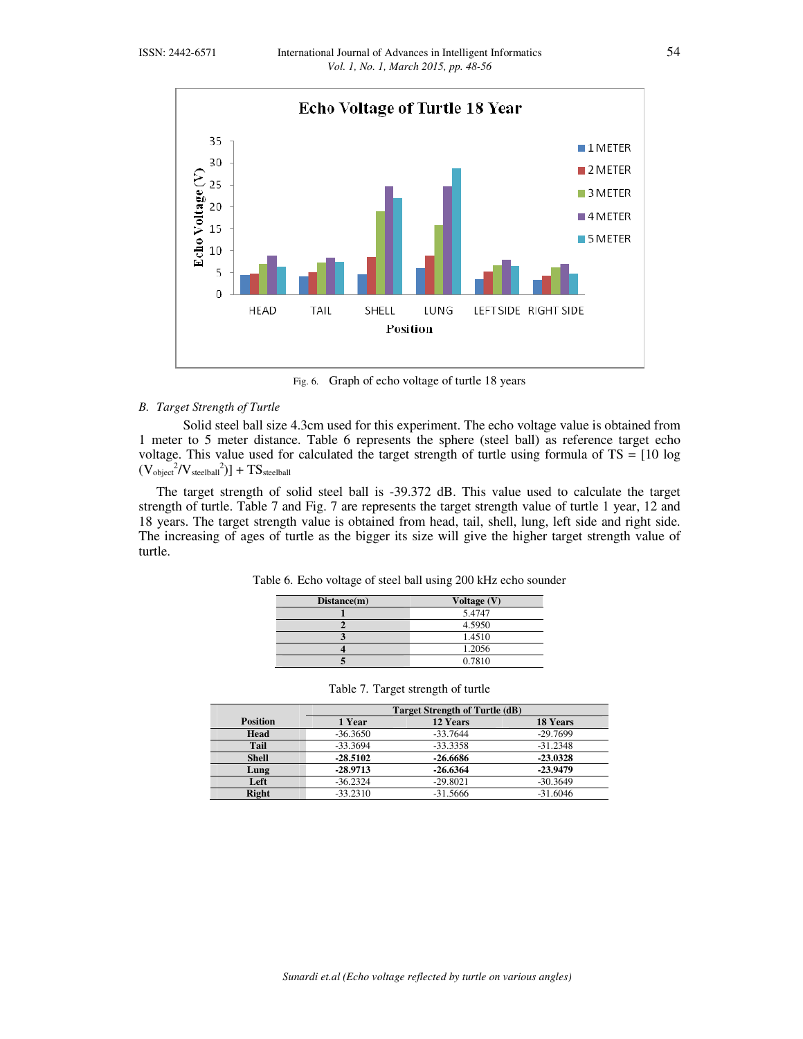

Fig. 6. Graph of echo voltage of turtle 18 years

## *B. Target Strength of Turtle*

Solid steel ball size 4.3cm used for this experiment. The echo voltage value is obtained from 1 meter to 5 meter distance. Table 6 represents the sphere (steel ball) as reference target echo voltage. This value used for calculated the target strength of turtle using formula of  $TS = [10 \log 1000]$  $(V_{object}^2/V_{steelball}^2)] + TS_{steelball}$ 

The target strength of solid steel ball is -39.372 dB. This value used to calculate the target strength of turtle. Table 7 and Fig. 7 are represents the target strength value of turtle 1 year, 12 and 18 years. The target strength value is obtained from head, tail, shell, lung, left side and right side. The increasing of ages of turtle as the bigger its size will give the higher target strength value of turtle.

Table 6. Echo voltage of steel ball using 200 kHz echo sounder

| Distance(m) | Voltage (V) |
|-------------|-------------|
|             | 5.4747      |
|             | 4.5950      |
|             | 1.4510      |
|             | 1.2056      |
|             | 0.7810      |

| $Dis$ tance $(n)$ | value(v) |
|-------------------|----------|
|                   | 5.4747   |
|                   | 4.5950   |
|                   | 1.4510   |
|                   | 1.2056   |
|                   | 0.7810   |
|                   |          |

|                 | <b>Target Strength of Turtle (dB)</b> |            |                 |  |  |
|-----------------|---------------------------------------|------------|-----------------|--|--|
| <b>Position</b> | 1 Year                                | 12 Years   | <b>18 Years</b> |  |  |
| Head            | $-36.3650$                            | $-33.7644$ | $-29.7699$      |  |  |
| <b>Tail</b>     | $-33.3694$                            | $-33.3358$ | $-31.2348$      |  |  |
| <b>Shell</b>    | $-28.5102$                            | $-26.6686$ | $-23.0328$      |  |  |
| Lung            | $-28.9713$                            | $-26.6364$ | $-23.9479$      |  |  |
| Left            | $-36.2324$                            | $-29.8021$ | $-30.3649$      |  |  |
| <b>Right</b>    | $-33.2310$                            | $-31.5666$ | $-31.6046$      |  |  |

|  |  |  | Table 7. Target strength of turtle |
|--|--|--|------------------------------------|
|--|--|--|------------------------------------|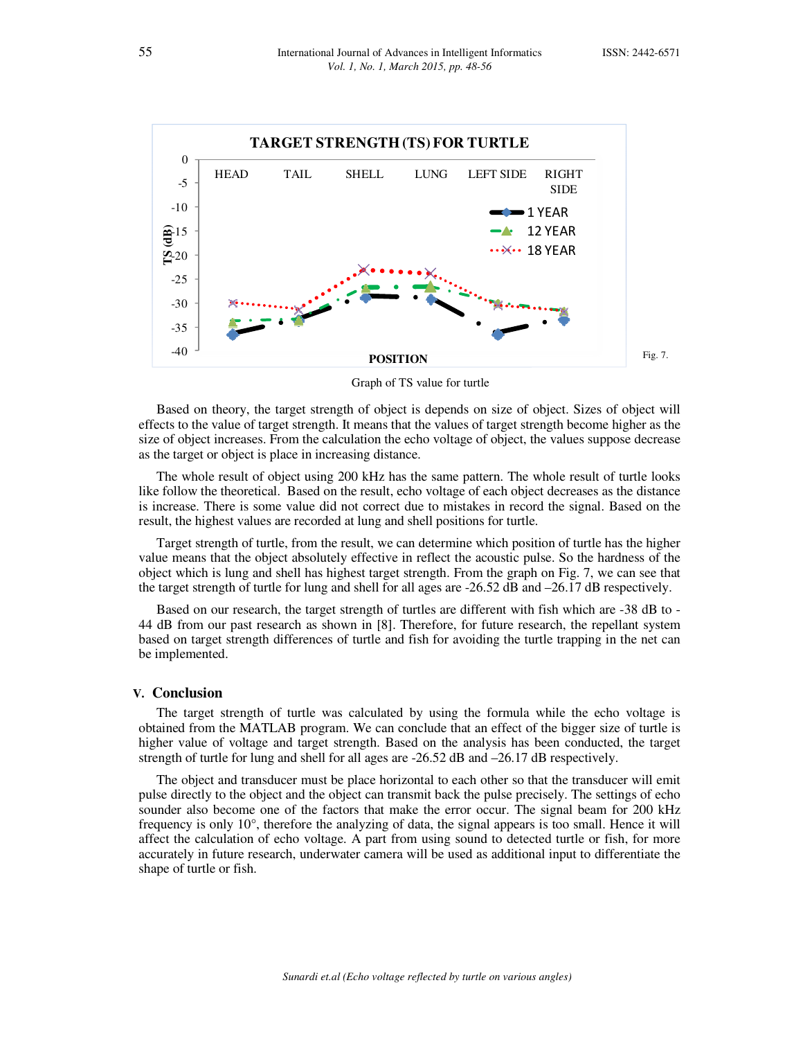

Graph of TS value for turtle

Based on theory, the target strength of object is depends on size of object. Sizes of object will effects to the value of target strength. It means that the values of target strength become higher as the size of object increases. From the calculation the echo voltage of object, the values suppose decrease as the target or object is place in increasing distance.

The whole result of object using 200 kHz has the same pattern. The whole result of turtle looks like follow the theoretical. Based on the result, echo voltage of each object decreases as the distance is increase. There is some value did not correct due to mistakes in record the signal. Based on the result, the highest values are recorded at lung and shell positions for turtle.

Target strength of turtle, from the result, we can determine which position of turtle has the higher value means that the object absolutely effective in reflect the acoustic pulse. So the hardness of the object which is lung and shell has highest target strength. From the graph on Fig. 7, we can see that the target strength of turtle for lung and shell for all ages are -26.52 dB and –26.17 dB respectively.

Based on our research, the target strength of turtles are different with fish which are -38 dB to - 44 dB from our past research as shown in [8]. Therefore, for future research, the repellant system based on target strength differences of turtle and fish for avoiding the turtle trapping in the net can be implemented.

### **V. Conclusion**

The target strength of turtle was calculated by using the formula while the echo voltage is obtained from the MATLAB program. We can conclude that an effect of the bigger size of turtle is higher value of voltage and target strength. Based on the analysis has been conducted, the target strength of turtle for lung and shell for all ages are -26.52 dB and –26.17 dB respectively.

The object and transducer must be place horizontal to each other so that the transducer will emit pulse directly to the object and the object can transmit back the pulse precisely. The settings of echo sounder also become one of the factors that make the error occur. The signal beam for 200 kHz frequency is only 10°, therefore the analyzing of data, the signal appears is too small. Hence it will affect the calculation of echo voltage. A part from using sound to detected turtle or fish, for more accurately in future research, underwater camera will be used as additional input to differentiate the shape of turtle or fish.